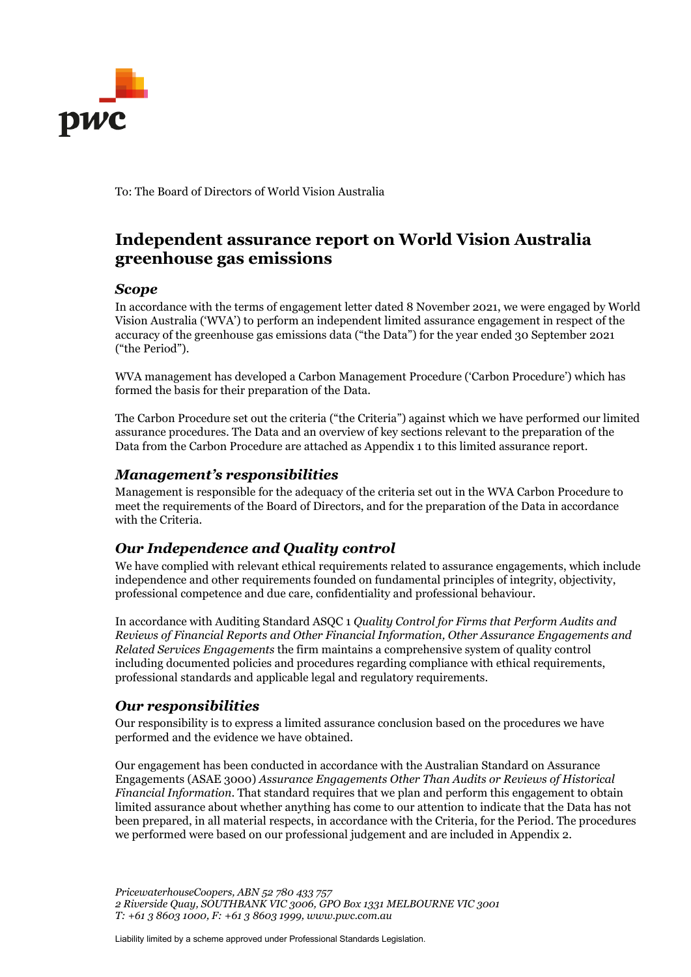

To: The Board of Directors of World Vision Australia

# **Independent assurance report on World Vision Australia greenhouse gas emissions**

#### *Scope*

In accordance with the terms of engagement letter dated 8 November 2021, we were engaged by World Vision Australia ('WVA') to perform an independent limited assurance engagement in respect of the accuracy of the greenhouse gas emissions data ("the Data") for the year ended 30 September 2021 ("the Period").

WVA management has developed a Carbon Management Procedure ('Carbon Procedure') which has formed the basis for their preparation of the Data.

The Carbon Procedure set out the criteria ("the Criteria") against which we have performed our limited assurance procedures. The Data and an overview of key sections relevant to the preparation of the Data from the Carbon Procedure are attached as Appendix 1 to this limited assurance report.

#### *Management's responsibilities*

Management is responsible for the adequacy of the criteria set out in the WVA Carbon Procedure to meet the requirements of the Board of Directors, and for the preparation of the Data in accordance with the Criteria.

## *Our Independence and Quality control*

We have complied with relevant ethical requirements related to assurance engagements, which include independence and other requirements founded on fundamental principles of integrity, objectivity, professional competence and due care, confidentiality and professional behaviour.

In accordance with Auditing Standard ASQC 1 *Quality Control for Firms that Perform Audits and Reviews of Financial Reports and Other Financial Information, Other Assurance Engagements and Related Services Engagements* the firm maintains a comprehensive system of quality control including documented policies and procedures regarding compliance with ethical requirements, professional standards and applicable legal and regulatory requirements.

## *Our responsibilities*

Our responsibility is to express a limited assurance conclusion based on the procedures we have performed and the evidence we have obtained.

Our engagement has been conducted in accordance with the Australian Standard on Assurance Engagements (ASAE 3000) *Assurance Engagements Other Than Audits or Reviews of Historical Financial Information*. That standard requires that we plan and perform this engagement to obtain limited assurance about whether anything has come to our attention to indicate that the Data has not been prepared, in all material respects, in accordance with the Criteria, for the Period. The procedures we performed were based on our professional judgement and are included in Appendix 2.

*PricewaterhouseCoopers, ABN 52 780 433 757 2 Riverside Quay, SOUTHBANK VIC 3006, GPO Box 1331 MELBOURNE VIC 3001 T: +61 3 8603 1000, F: +61 3 8603 1999, www.pwc.com.au*

Liability limited by a scheme approved under Professional Standards Legislation.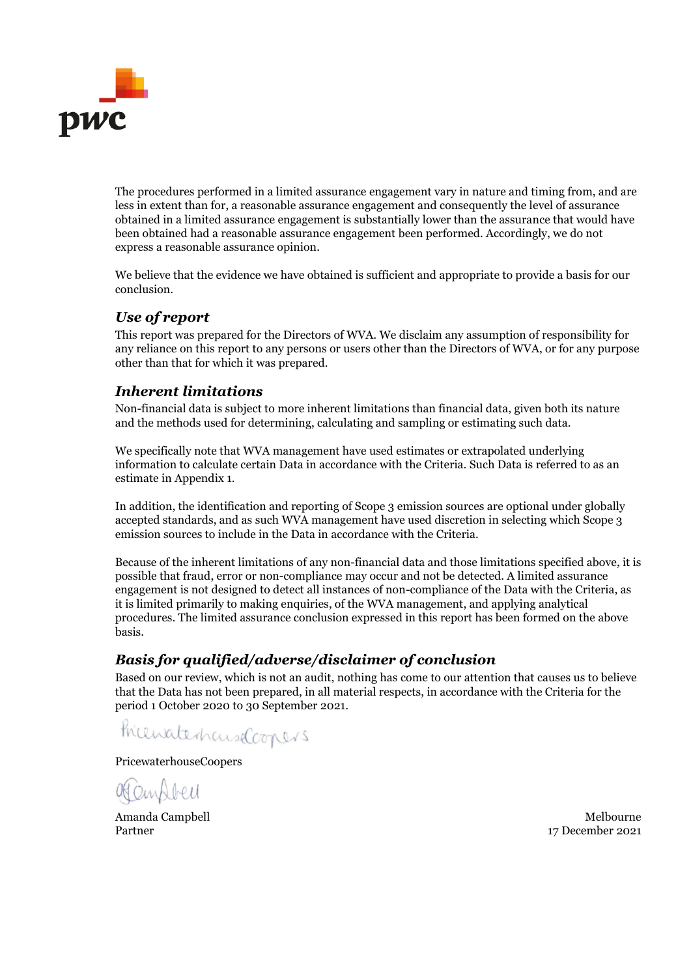

The procedures performed in a limited assurance engagement vary in nature and timing from, and are less in extent than for, a reasonable assurance engagement and consequently the level of assurance obtained in a limited assurance engagement is substantially lower than the assurance that would have been obtained had a reasonable assurance engagement been performed. Accordingly, we do not express a reasonable assurance opinion.

We believe that the evidence we have obtained is sufficient and appropriate to provide a basis for our conclusion.

# *Use of report*

This report was prepared for the Directors of WVA. We disclaim any assumption of responsibility for any reliance on this report to any persons or users other than the Directors of WVA, or for any purpose other than that for which it was prepared.

## *Inherent limitations*

Non-financial data is subject to more inherent limitations than financial data, given both its nature and the methods used for determining, calculating and sampling or estimating such data.

We specifically note that WVA management have used estimates or extrapolated underlying information to calculate certain Data in accordance with the Criteria. Such Data is referred to as an estimate in Appendix 1.

In addition, the identification and reporting of Scope 3 emission sources are optional under globally accepted standards, and as such WVA management have used discretion in selecting which Scope 3 emission sources to include in the Data in accordance with the Criteria.

Because of the inherent limitations of any non-financial data and those limitations specified above, it is possible that fraud, error or non-compliance may occur and not be detected. A limited assurance engagement is not designed to detect all instances of non-compliance of the Data with the Criteria, as it is limited primarily to making enquiries, of the WVA management, and applying analytical procedures. The limited assurance conclusion expressed in this report has been formed on the above basis.

# *Basis for qualified/adverse/disclaimer of conclusion*

Based on our review, which is not an audit, nothing has come to our attention that causes us to believe that the Data has not been prepared, in all material respects, in accordance with the Criteria for the period 1 October 2020 to 30 September 2021.

PricewaterhauseCoopers

PricewaterhouseCoopers

OfCandbell

Amanda Campbell and Campbell and Campbell and Campbell and Campbell and Campbell and Campbell and Campbell and Partner 17 December 2021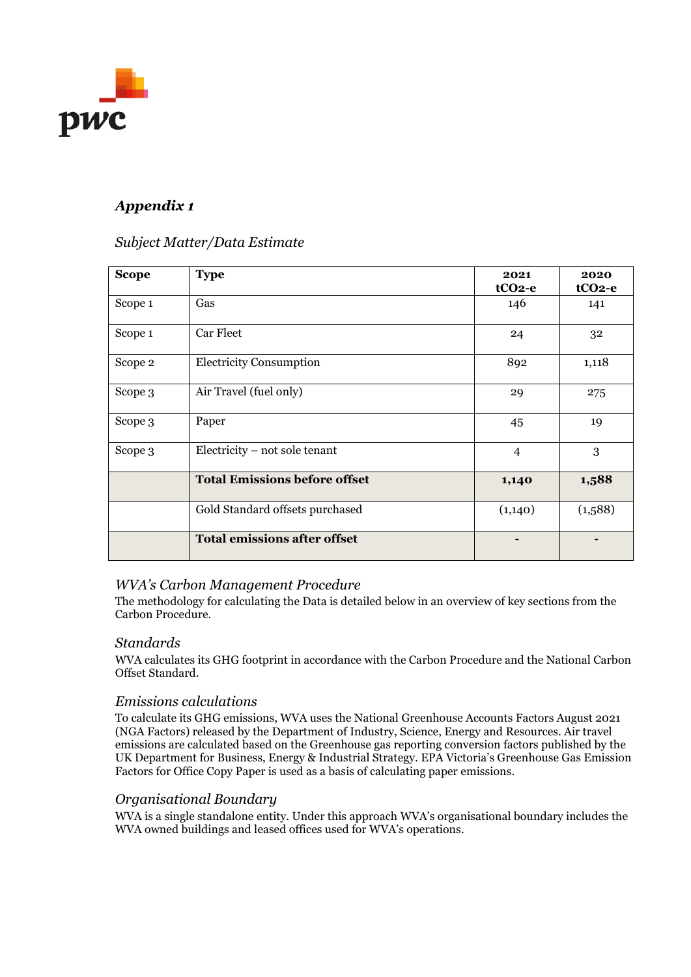

# *Appendix 1*

## *Subject Matter/Data Estimate*

| <b>Scope</b> | <b>Type</b>                          | 2021<br>$tCO2-e$ | 2020<br>tCO <sub>2</sub> -e |
|--------------|--------------------------------------|------------------|-----------------------------|
| Scope 1      | Gas                                  | 146              | 141                         |
| Scope 1      | Car Fleet                            | 24               | 32                          |
| Scope 2      | <b>Electricity Consumption</b>       | 892              | 1,118                       |
| Scope 3      | Air Travel (fuel only)               | 29               | 275                         |
| Scope 3      | Paper                                | 45               | 19                          |
| Scope 3      | Electricity – not sole tenant        | $\overline{4}$   | 3                           |
|              | <b>Total Emissions before offset</b> | 1,140            | 1,588                       |
|              | Gold Standard offsets purchased      | (1,140)          | (1,588)                     |
|              | <b>Total emissions after offset</b>  |                  |                             |

## *WVA's Carbon Management Procedure*

The methodology for calculating the Data is detailed below in an overview of key sections from the Carbon Procedure.

#### *Standards*

WVA calculates its GHG footprint in accordance with the Carbon Procedure and the National Carbon Offset Standard.

#### *Emissions calculations*

To calculate its GHG emissions, WVA uses the National Greenhouse Accounts Factors August 2021 (NGA Factors) released by the Department of Industry, Science, Energy and Resources. Air travel emissions are calculated based on the Greenhouse gas reporting conversion factors published by the UK Department for Business, Energy & Industrial Strategy. EPA Victoria's Greenhouse Gas Emission Factors for Office Copy Paper is used as a basis of calculating paper emissions.

#### *Organisational Boundary*

WVA is a single standalone entity. Under this approach WVA's organisational boundary includes the WVA owned buildings and leased offices used for WVA's operations.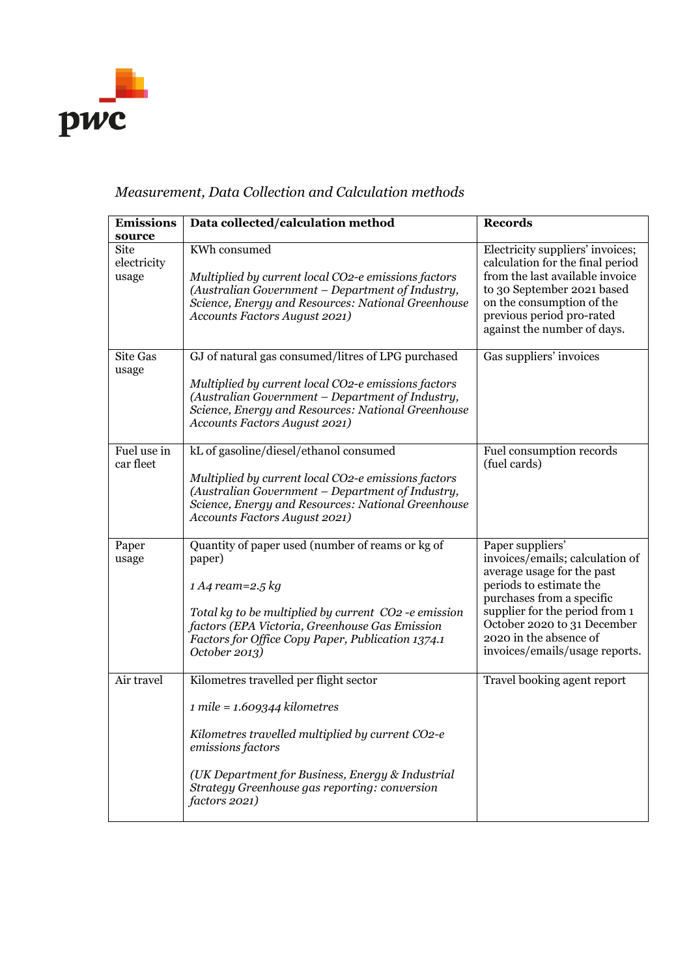

# *Measurement, Data Collection and Calculation methods*

| <b>Emissions</b>             | Data collected/calculation method                                                                                                                                                                                                                                         | <b>Records</b>                                                                                                                                                                                                                                                         |
|------------------------------|---------------------------------------------------------------------------------------------------------------------------------------------------------------------------------------------------------------------------------------------------------------------------|------------------------------------------------------------------------------------------------------------------------------------------------------------------------------------------------------------------------------------------------------------------------|
| source                       |                                                                                                                                                                                                                                                                           |                                                                                                                                                                                                                                                                        |
| Site<br>electricity<br>usage | KWh consumed<br>Multiplied by current local CO2-e emissions factors<br>(Australian Government - Department of Industry,<br>Science, Energy and Resources: National Greenhouse<br>Accounts Factors August 2021)                                                            | Electricity suppliers' invoices;<br>calculation for the final period<br>from the last available invoice<br>to 30 September 2021 based<br>on the consumption of the<br>previous period pro-rated<br>against the number of days.                                         |
| <b>Site Gas</b><br>usage     | GJ of natural gas consumed/litres of LPG purchased<br>Multiplied by current local CO2-e emissions factors<br>(Australian Government - Department of Industry,<br>Science, Energy and Resources: National Greenhouse<br>Accounts Factors August 2021)                      | Gas suppliers' invoices                                                                                                                                                                                                                                                |
| Fuel use in<br>car fleet     | kL of gasoline/diesel/ethanol consumed<br>Multiplied by current local CO2-e emissions factors<br>(Australian Government - Department of Industry,<br>Science, Energy and Resources: National Greenhouse<br>Accounts Factors August 2021)                                  | Fuel consumption records<br>(fuel cards)                                                                                                                                                                                                                               |
| Paper<br>usage               | Quantity of paper used (number of reams or kg of<br>paper)<br>$1 A4$ ream=2.5 kg<br>Total kg to be multiplied by current CO2 -e emission<br>factors (EPA Victoria, Greenhouse Gas Emission<br>Factors for Office Copy Paper, Publication 1374.1<br>October 2013)          | Paper suppliers'<br>invoices/emails; calculation of<br>average usage for the past<br>periods to estimate the<br>purchases from a specific<br>supplier for the period from 1<br>October 2020 to 31 December<br>2020 in the absence of<br>invoices/emails/usage reports. |
| Air travel                   | Kilometres travelled per flight sector<br>$1$ mile = $1.609344$ kilometres<br>Kilometres travelled multiplied by current CO2-e<br>emissions factors<br>(UK Department for Business, Energy & Industrial<br>Strategy Greenhouse gas reporting: conversion<br>factors 2021) | Travel booking agent report                                                                                                                                                                                                                                            |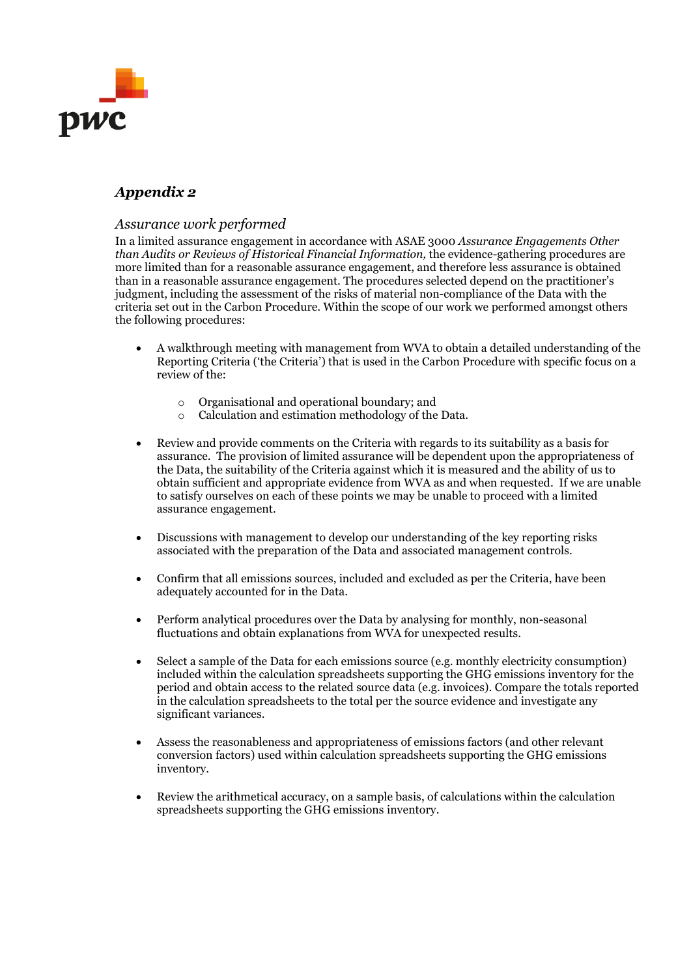

# *Appendix 2*

#### *Assurance work performed*

In a limited assurance engagement in accordance with ASAE 3000 *Assurance Engagements Other than Audits or Reviews of Historical Financial Information,* the evidence-gathering procedures are more limited than for a reasonable assurance engagement, and therefore less assurance is obtained than in a reasonable assurance engagement. The procedures selected depend on the practitioner's judgment, including the assessment of the risks of material non-compliance of the Data with the criteria set out in the Carbon Procedure. Within the scope of our work we performed amongst others the following procedures:

- A walkthrough meeting with management from WVA to obtain a detailed understanding of the Reporting Criteria ('the Criteria') that is used in the Carbon Procedure with specific focus on a review of the:
	- o Organisational and operational boundary; and
	- o Calculation and estimation methodology of the Data.
- Review and provide comments on the Criteria with regards to its suitability as a basis for assurance. The provision of limited assurance will be dependent upon the appropriateness of the Data, the suitability of the Criteria against which it is measured and the ability of us to obtain sufficient and appropriate evidence from WVA as and when requested. If we are unable to satisfy ourselves on each of these points we may be unable to proceed with a limited assurance engagement.
- Discussions with management to develop our understanding of the key reporting risks associated with the preparation of the Data and associated management controls.
- Confirm that all emissions sources, included and excluded as per the Criteria, have been adequately accounted for in the Data.
- Perform analytical procedures over the Data by analysing for monthly, non-seasonal fluctuations and obtain explanations from WVA for unexpected results.
- Select a sample of the Data for each emissions source (e.g. monthly electricity consumption) included within the calculation spreadsheets supporting the GHG emissions inventory for the period and obtain access to the related source data (e.g. invoices). Compare the totals reported in the calculation spreadsheets to the total per the source evidence and investigate any significant variances.
- Assess the reasonableness and appropriateness of emissions factors (and other relevant conversion factors) used within calculation spreadsheets supporting the GHG emissions inventory.
- Review the arithmetical accuracy, on a sample basis, of calculations within the calculation spreadsheets supporting the GHG emissions inventory.